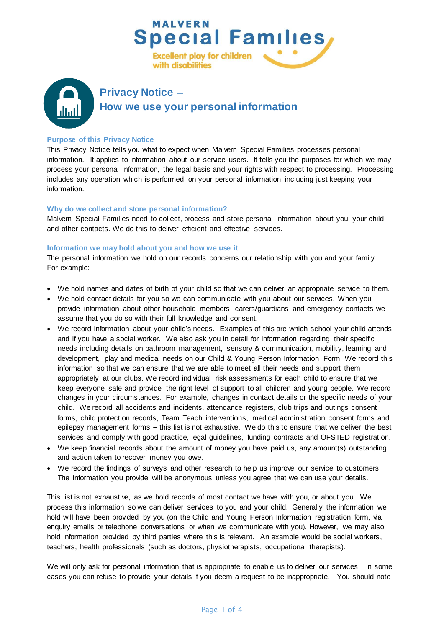

# **Purpose of this Privacy Notice**

This Privacy Notice tells you what to expect when Malvern Special Families processes personal information. It applies to information about our service users. It tells you the purposes for which we may process your personal information, the legal basis and your rights with respect to processing. Processing includes any operation which is performed on your personal information including just keeping your information.

#### **Why do we collect and store personal information?**

Malvern Special Families need to collect, process and store personal information about you, your child and other contacts. We do this to deliver efficient and effective services.

#### **Information we may hold about you and how we use it**

The personal information we hold on our records concerns our relationship with you and your family. For example:

- We hold names and dates of birth of your child so that we can deliver an appropriate service to them.
- We hold contact details for you so we can communicate with you about our services. When you provide information about other household members, carers/guardians and emergency contacts we assume that you do so with their full knowledge and consent.
- We record information about your child's needs. Examples of this are which school your child attends and if you have a social worker. We also ask you in detail for information regarding their specific needs including details on bathroom management, sensory & communication, mobility, learning and development, play and medical needs on our Child & Young Person Information Form. We record this information so that we can ensure that we are able to meet all their needs and support them appropriately at our clubs. We record individual risk assessments for each child to ensure that we keep everyone safe and provide the right level of support to all children and young people. We record changes in your circumstances. For example, changes in contact details or the specific needs of your child. We record all accidents and incidents, attendance registers, club trips and outings consent forms, child protection records, Team Teach interventions, medical administration consent forms and epilepsy management forms – this list is not exhaustive. We do this to ensure that we deliver the best services and comply with good practice, legal guidelines, funding contracts and OFSTED registration.
- We keep financial records about the amount of money you have paid us, any amount(s) outstanding and action taken to recover money you owe.
- We record the findings of surveys and other research to help us improve our service to customers. The information you provide will be anonymous unless you agree that we can use your details.

This list is not exhaustive, as we hold records of most contact we have with you, or about you. We process this information so we can deliver services to you and your child. Generally the information we hold will have been provided by you (on the Child and Young Person Information registration form, via enquiry emails or telephone conversations or when we communicate with you). However, we may also hold information provided by third parties where this is relevant. An example would be social workers, teachers, health professionals (such as doctors, physiotherapists, occupational therapists).

We will only ask for personal information that is appropriate to enable us to deliver our services. In some cases you can refuse to provide your details if you deem a request to be inappropriate. You should note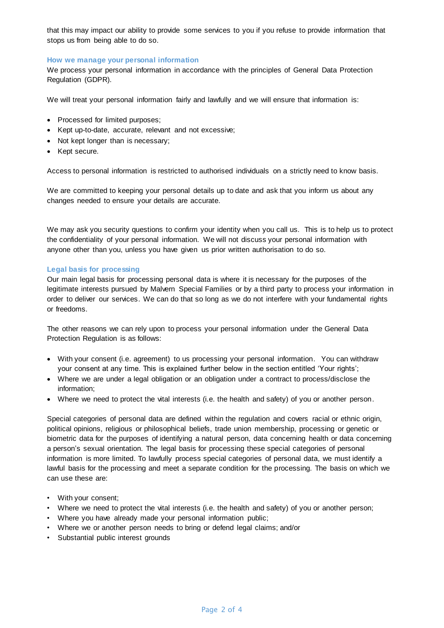that this may impact our ability to provide some services to you if you refuse to provide information that stops us from being able to do so.

# **How we manage your personal information**

We process your personal information in accordance with the principles of General Data Protection Regulation (GDPR).

We will treat your personal information fairly and lawfully and we will ensure that information is:

- Processed for limited purposes;
- Kept up-to-date, accurate, relevant and not excessive;
- Not kept longer than is necessary;
- Kept secure.

Access to personal information is restricted to authorised individuals on a strictly need to know basis.

We are committed to keeping your personal details up to date and ask that you inform us about any changes needed to ensure your details are accurate.

We may ask you security questions to confirm your identity when you call us. This is to help us to protect the confidentiality of your personal information. We will not discuss your personal information with anyone other than you, unless you have given us prior written authorisation to do so.

### **Legal basis for processing**

Our main legal basis for processing personal data is where it is necessary for the purposes of the legitimate interests pursued by Malvern Special Families or by a third party to process your information in order to deliver our services. We can do that so long as we do not interfere with your fundamental rights or freedoms.

The other reasons we can rely upon to process your personal information under the General Data Protection Regulation is as follows:

- With your consent (i.e. agreement) to us processing your personal information. You can withdraw your consent at any time. This is explained further below in the section entitled 'Your rights';
- Where we are under a legal obligation or an obligation under a contract to process/disclose the information;
- Where we need to protect the vital interests (i.e. the health and safety) of you or another person.

Special categories of personal data are defined within the regulation and covers racial or ethnic origin, political opinions, religious or philosophical beliefs, trade union membership, processing or genetic or biometric data for the purposes of identifying a natural person, data concerning health or data concerning a person's sexual orientation. The legal basis for processing these special categories of personal information is more limited. To lawfully process special categories of personal data, we must identify a lawful basis for the processing and meet a separate condition for the processing. The basis on which we can use these are:

- With your consent;
- Where we need to protect the vital interests (i.e. the health and safety) of you or another person;
- Where you have already made your personal information public;
- Where we or another person needs to bring or defend legal claims; and/or
- Substantial public interest grounds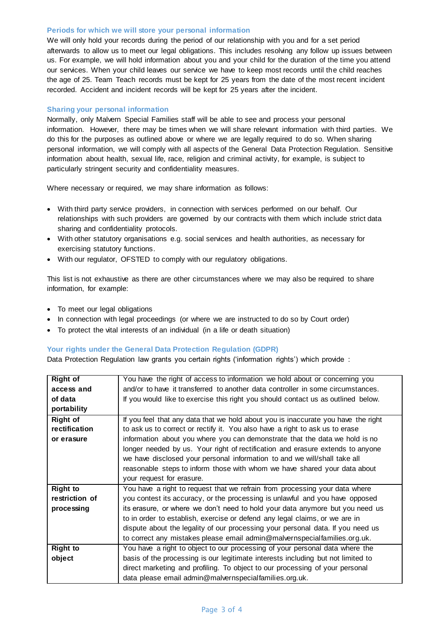# **Periods for which we will store your personal information**

We will only hold your records during the period of our relationship with you and for a set period afterwards to allow us to meet our legal obligations. This includes resolving any follow up issues between us. For example, we will hold information about you and your child for the duration of the time you attend our services. When your child leaves our service we have to keep most records until the child reaches the age of 25. Team Teach records must be kept for 25 years from the date of the most recent incident recorded. Accident and incident records will be kept for 25 years after the incident.

# **Sharing your personal information**

Normally, only Malvern Special Families staff will be able to see and process your personal information. However, there may be times when we will share relevant information with third parties. We do this for the purposes as outlined above or where we are legally required to do so. When sharing personal information, we will comply with all aspects of the General Data Protection Regulation. Sensitive information about health, sexual life, race, religion and criminal activity, for example, is subject to particularly stringent security and confidentiality measures.

Where necessary or required, we may share information as follows:

- With third party service providers, in connection with services performed on our behalf. Our relationships with such providers are governed by our contracts with them which include strict data sharing and confidentiality protocols.
- With other statutory organisations e.g. social services and health authorities, as necessary for exercising statutory functions.
- With our regulator, OFSTED to comply with our regulatory obligations.

This list is not exhaustive as there are other circumstances where we may also be required to share information, for example:

- To meet our legal obligations
- In connection with legal proceedings (or where we are instructed to do so by Court order)
- To protect the vital interests of an individual (in a life or death situation)

### **Your rights under the General Data Protection Regulation (GDPR)**

Data Protection Regulation law grants you certain rights ('information rights') which provide :

| <b>Right of</b> | You have the right of access to information we hold about or concerning you       |
|-----------------|-----------------------------------------------------------------------------------|
| access and      | and/or to have it transferred to another data controller in some circumstances.   |
| of data         | If you would like to exercise this right you should contact us as outlined below. |
| portability     |                                                                                   |
| <b>Right of</b> | If you feel that any data that we hold about you is inaccurate you have the right |
| rectification   | to ask us to correct or rectify it. You also have a right to ask us to erase      |
| or erasure      | information about you where you can demonstrate that the data we hold is no       |
|                 | longer needed by us. Your right of rectification and erasure extends to anyone    |
|                 | we have disclosed your personal information to and we will/shall take all         |
|                 | reasonable steps to inform those with whom we have shared your data about         |
|                 | your request for erasure.                                                         |
| <b>Right to</b> | You have a right to request that we refrain from processing your data where       |
| restriction of  | you contest its accuracy, or the processing is unlawful and you have opposed      |
| processing      | its erasure, or where we don't need to hold your data anymore but you need us     |
|                 | to in order to establish, exercise or defend any legal claims, or we are in       |
|                 | dispute about the legality of our processing your personal data. If you need us   |
|                 | to correct any mistakes please email admin@malvernspecialfamilies.org.uk.         |
| <b>Right to</b> | You have a right to object to our processing of your personal data where the      |
| object          | basis of the processing is our legitimate interests including but not limited to  |
|                 | direct marketing and profiling. To object to our processing of your personal      |
|                 | data please email admin@malvernspecialfamilies.org.uk.                            |